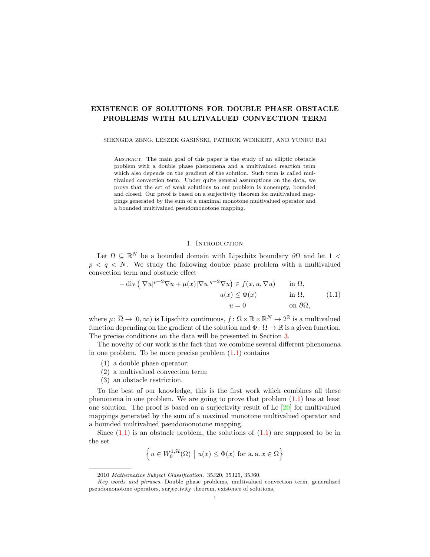# EXISTENCE OF SOLUTIONS FOR DOUBLE PHASE OBSTACLE PROBLEMS WITH MULTIVALUED CONVECTION TERM

SHENGDA ZENG, LESZEK GASINSKI, PATRICK WINKERT, AND YUNRU BAI ´

Abstract. The main goal of this paper is the study of an elliptic obstacle problem with a double phase phenomena and a multivalued reaction term which also depends on the gradient of the solution. Such term is called multivalued convection term. Under quite general assumptions on the data, we prove that the set of weak solutions to our problem is nonempty, bounded and closed. Our proof is based on a surjectivity theorem for multivalued mappings generated by the sum of a maximal monotone multivalued operator and a bounded multivalued pseudomonotone mapping.

### 1. INTRODUCTION

Let  $\Omega \subseteq \mathbb{R}^N$  be a bounded domain with Lipschitz boundary  $\partial\Omega$  and let 1 <  $p \le q \le N$ . We study the following double phase problem with a multivalued convection term and obstacle effect

<span id="page-0-0"></span>
$$
-\operatorname{div}\left(|\nabla u|^{p-2}\nabla u + \mu(x)|\nabla u|^{q-2}\nabla u\right) \in f(x, u, \nabla u) \quad \text{in } \Omega,
$$

$$
u(x) \le \Phi(x) \quad \text{in } \Omega,
$$

$$
u = 0 \quad \text{on } \partial\Omega,
$$

$$
(1.1)
$$

where  $\mu: \overline{\Omega} \to [0, \infty)$  is Lipschitz continuous,  $f: \Omega \times \mathbb{R} \times \mathbb{R}^N \to 2^{\mathbb{R}}$  is a multivalued function depending on the gradient of the solution and  $\Phi: \Omega \to \mathbb{R}$  is a given function. The precise conditions on the data will be presented in Section [3.](#page-5-0)

The novelty of our work is the fact that we combine several different phenomena in one problem. To be more precise problem  $(1.1)$  contains

- (1) a double phase operator;
- (2) a multivalued convection term;
- (3) an obstacle restriction.

To the best of our knowledge, this is the first work which combines all these phenomena in one problem. We are going to prove that problem [\(1.1\)](#page-0-0) has at least one solution. The proof is based on a surjectivity result of Le  $[20]$  for multivalued mappings generated by the sum of a maximal monotone multivalued operator and a bounded multivalued pseudomonotone mapping.

Since  $(1.1)$  is an obstacle problem, the solutions of  $(1.1)$  are supposed to be in the set

$$
\left\{ u \in W_0^{1,\mathcal{H}}(\Omega) \mid u(x) \le \Phi(x) \text{ for a. a. } x \in \Omega \right\}
$$

<sup>2010</sup> Mathematics Subject Classification. 35J20, 35J25, 35J60.

Key words and phrases. Double phase problems, multivalued convection term, generalized pseudomonotone operators, surjectivity theorem, existence of solutions.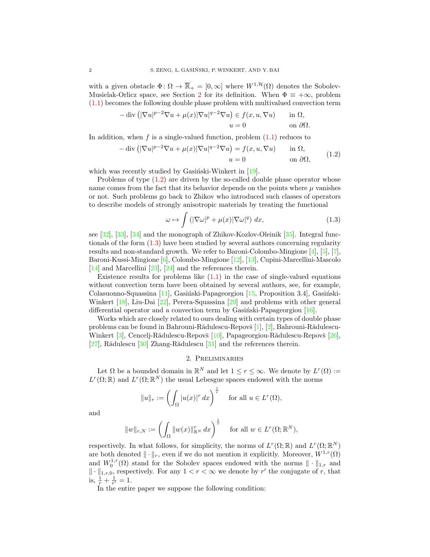with a given obstacle  $\Phi \colon \Omega \to \overline{\mathbb{R}}_+ = [0,\infty]$  where  $W^{1,\mathcal{H}}(\Omega)$  denotes the Sobolev-Musielak-Orlicz space, see Section [2](#page-1-0) for its definition. When  $\Phi = +\infty$ , problem [\(1.1\)](#page-0-0) becomes the following double phase problem with multivalued convection term

$$
-\operatorname{div} \left( |\nabla u|^{p-2} \nabla u + \mu(x) |\nabla u|^{q-2} \nabla u \right) \in f(x, u, \nabla u) \quad \text{in } \Omega,
$$
  

$$
u = 0 \quad \text{on } \partial \Omega.
$$

In addition, when f is a single-valued function, problem  $(1.1)$  reduces to

<span id="page-1-1"></span>
$$
-\operatorname{div}\left(|\nabla u|^{p-2}\nabla u + \mu(x)|\nabla u|^{q-2}\nabla u\right) = f(x, u, \nabla u) \quad \text{in } \Omega,
$$
  
\n
$$
u = 0 \quad \text{on } \partial\Omega,
$$
\n(1.2)

which was recently studied by Gasiński-Winkert in  $[19]$ .

Problems of type  $(1.2)$  are driven by the so-called double phase operator whose name comes from the fact that its behavior depends on the points where  $\mu$  vanishes or not. Such problems go back to Zhikov who introduced such classes of operators to describe models of strongly anisotropic materials by treating the functional

<span id="page-1-2"></span>
$$
\omega \mapsto \int \left( |\nabla \omega|^p + \mu(x) |\nabla \omega|^q \right) dx, \tag{1.3}
$$

see [\[32\]](#page-10-2), [\[33\]](#page-11-0), [\[34\]](#page-11-1) and the monograph of Zhikov-Kozlov-Oleinik [\[35\]](#page-11-2). Integral functionals of the form [\(1.3\)](#page-1-2) have been studied by several authors concerning regularity results and non-standard growth. We refer to Baroni-Colombo-Mingione [\[4\]](#page-10-3), [\[5\]](#page-10-4), [\[7\]](#page-10-5), Baroni-Kussi-Mingione [\[6\]](#page-10-6), Colombo-Mingione [\[12\]](#page-10-7), [\[13\]](#page-10-8), Cupini-Marcellini-Mascolo [\[14\]](#page-10-9) and Marcellini [\[23\]](#page-10-10), [\[24\]](#page-10-11) and the references therein.

Existence results for problems like  $(1.1)$  in the case of single-valued equations without convection term have been obtained by several authors, see, for example, Colasuonno-Squassina  $[11]$ , Gasiński-Papageorgiou  $[15]$ , Proposition 3.4], Gasiński-Winkert [\[18\]](#page-10-14), Liu-Dai [\[22\]](#page-10-15), Perera-Squassina [\[29\]](#page-10-16) and problems with other general differential operator and a convection term by Gasiński-Papageorgiou  $[16]$ .

Works which are closely related to ours dealing with certain types of double phase problems can be found in Bahrouni-Rădulescu-Repovš  $[1], [2],$  $[1], [2],$  $[1], [2],$  $[1], [2],$  Bahrouni-Rădulescu-Winkert [\[3\]](#page-9-2), Cencelj-Rădulescu-Repovš [\[10\]](#page-10-18), Papageorgiou-Rădulescu-Repovš [\[26\]](#page-10-19),  $[27]$ , Rădulescu  $[30]$  Zhang-Rădulescu  $[31]$  and the references therein.

## 2. Preliminaries

<span id="page-1-0"></span>Let  $\Omega$  be a bounded domain in  $\mathbb{R}^N$  and let  $1 \leq r \leq \infty$ . We denote by  $L^r(\Omega) :=$  $L^r(\Omega;\mathbb{R})$  and  $L^r(\Omega;\mathbb{R}^N)$  the usual Lebesgue spaces endowed with the norms

$$
||u||_r := \left(\int_{\Omega} |u(x)|^r dx\right)^{\frac{1}{r}} \quad \text{for all } u \in L^r(\Omega),
$$

and

$$
||w||_{r,N} := \left(\int_{\Omega} ||w(x)||^r_{\mathbb{R}^N} dx\right)^{\frac{1}{r}} \quad \text{ for all } w \in L^r(\Omega; \mathbb{R}^N),
$$

respectively. In what follows, for simplicity, the norms of  $L^r(\Omega;\mathbb{R})$  and  $L^r(\Omega;\mathbb{R}^N)$ are both denoted  $\|\cdot\|_r$ , even if we do not mention it explicitly. Moreover,  $W^{1,r}(\Omega)$ and  $W_0^{1,r}(\Omega)$  stand for the Sobolev spaces endowed with the norms  $\|\cdot\|_{1,r}$  and  $\|\cdot\|_{1,r,0}$ , respectively. For any  $1 < r < \infty$  we denote by r' the conjugate of r, that is,  $\frac{1}{r} + \frac{1}{r'} = 1$ .

In the entire paper we suppose the following condition: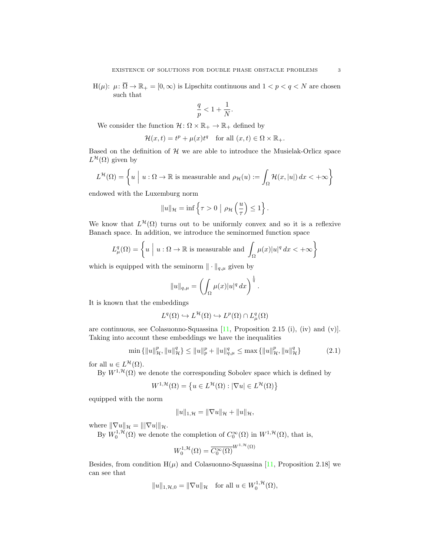$H(\mu): \mu: \overline{\Omega} \to \mathbb{R}_+ = [0, \infty)$  is Lipschitz continuous and  $1 < p < q < N$  are chosen such that

$$
\frac{q}{p}<1+\frac{1}{N}.
$$

We consider the function  $\mathcal{H} \colon \Omega \times \mathbb{R}_+ \to \mathbb{R}_+$  defined by

$$
\mathcal{H}(x,t) = t^p + \mu(x)t^q \quad \text{for all } (x,t) \in \Omega \times \mathbb{R}_+.
$$

Based on the definition of  $H$  we are able to introduce the Musielak-Orlicz space  $L^{\mathcal{H}}(\Omega)$  given by

$$
L^{\mathcal{H}}(\Omega) = \left\{ u \mid u : \Omega \to \mathbb{R} \text{ is measurable and } \rho_{\mathcal{H}}(u) := \int_{\Omega} \mathcal{H}(x, |u|) dx < +\infty \right\}
$$

endowed with the Luxemburg norm

$$
||u||_{\mathcal{H}} = \inf \left\{ \tau > 0 \mid \rho_{\mathcal{H}} \left( \frac{u}{\tau} \right) \leq 1 \right\}.
$$

We know that  $L^{\mathcal{H}}(\Omega)$  turns out to be uniformly convex and so it is a reflexive Banach space. In addition, we introduce the seminormed function space

$$
L^q_\mu(\Omega) = \left\{ u \mid u : \Omega \to \mathbb{R} \text{ is measurable and } \int_{\Omega} \mu(x) |u|^q dx < +\infty \right\}
$$

which is equipped with the seminorm  $\|\cdot\|_{q,\mu}$  given by

$$
||u||_{q,\mu} = \left(\int_{\Omega} \mu(x)|u|^q dx\right)^{\frac{1}{q}}.
$$

It is known that the embeddings

$$
L^q(\Omega) \hookrightarrow L^{\mathcal{H}}(\Omega) \hookrightarrow L^p(\Omega) \cap L^q_{\mu}(\Omega)
$$

are continuous, see Colasuonno-Squassina [\[11,](#page-10-12) Proposition 2.15 (i), (iv) and (v)]. Taking into account these embeddings we have the inequalities

$$
\min\left\{\|u\|_{\mathcal{H}}^p, \|u\|_{\mathcal{H}}^q\right\} \le \|u\|_{p}^p + \|u\|_{q,\mu}^q \le \max\left\{\|u\|_{\mathcal{H}}^p, \|u\|_{\mathcal{H}}^q\right\} \tag{2.1}
$$

for all  $u \in L^{\mathcal{H}}(\Omega)$ .

By  $W^{1, \mathcal{H}}(\Omega)$  we denote the corresponding Sobolev space which is defined by

$$
W^{1,\mathcal{H}}(\Omega) = \{ u \in L^{\mathcal{H}}(\Omega) : |\nabla u| \in L^{\mathcal{H}}(\Omega) \}
$$

equipped with the norm

<span id="page-2-0"></span>
$$
||u||_{1,\mathcal{H}} = ||\nabla u||_{\mathcal{H}} + ||u||_{\mathcal{H}},
$$

where  $\|\nabla u\|_{\mathcal{H}} = \| |\nabla u| \|_{\mathcal{H}}.$ 

By  $W_0^{1,\mathcal{H}}(\Omega)$  we denote the completion of  $C_0^{\infty}(\Omega)$  in  $W^{1,\mathcal{H}}(\Omega)$ , that is,

$$
W_0^{1,\mathcal{H}}(\Omega) = \overline{C_0^{\infty}(\Omega)}^{W^{1,\mathcal{H}}(\Omega)}
$$

Besides, from condition  $H(\mu)$  and Colasuonno-Squassina [\[11,](#page-10-12) Proposition 2.18] we can see that

$$
||u||_{1,\mathcal{H},0} = ||\nabla u||_{\mathcal{H}} \quad \text{for all } u \in W_0^{1,\mathcal{H}}(\Omega),
$$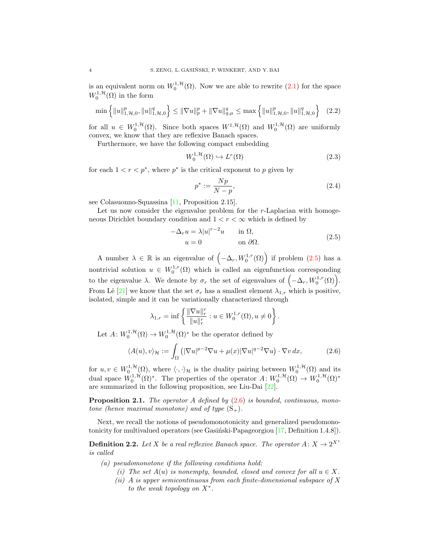is an equivalent norm on  $W_0^{1,\mathcal{H}}(\Omega)$ . Now we are able to rewrite  $(2.1)$  for the space  $W_0^{1,\mathcal{H}}(\Omega)$  in the form

$$
\min\left\{\|u\|_{1,\mathcal{H},0}^p, \|u\|_{1,\mathcal{H},0}^q\right\} \le \|\nabla u\|_p^p + \|\nabla u\|_{q,\mu}^q \le \max\left\{\|u\|_{1,\mathcal{H},0}^p, \|u\|_{1,\mathcal{H},0}^q\right\} \tag{2.2}
$$

for all  $u \in W_0^{1,\mathcal{H}}(\Omega)$ . Since both spaces  $W^{1,\mathcal{H}}(\Omega)$  and  $W_0^{1,\mathcal{H}}(\Omega)$  are uniformly convex, we know that they are reflexive Banach spaces.

Furthermore, we have the following compact embedding

<span id="page-3-5"></span>
$$
W_0^{1, \mathcal{H}}(\Omega) \hookrightarrow L^r(\Omega) \tag{2.3}
$$

for each  $1 < r < p^*$ , where  $p^*$  is the critical exponent to p given by

<span id="page-3-4"></span><span id="page-3-2"></span>
$$
p^* := \frac{Np}{N-p},\tag{2.4}
$$

see Colasuonno-Squassina [\[11,](#page-10-12) Proposition 2.15].

Let us now consider the eigenvalue problem for the  $r$ -Laplacian with homogeneous Dirichlet boundary condition and  $1 < r < \infty$  which is defined by

<span id="page-3-0"></span>
$$
-\Delta_r u = \lambda |u|^{r-2}u \quad \text{in } \Omega,
$$
  
\n
$$
u = 0 \quad \text{on } \partial\Omega.
$$
 (2.5)

A number  $\lambda \in \mathbb{R}$  is an eigenvalue of  $(-\Delta_r, W_0^{1,r}(\Omega))$  if problem  $(2.5)$  has a nontrivial solution  $u \in W_0^{1,r}(\Omega)$  which is called an eigenfunction corresponding to the eigenvalue  $\lambda$ . We denote by  $\sigma_r$  the set of eigenvalues of  $(-\Delta_r, W_0^{1,r}(\Omega))$ . From Lê [\[21\]](#page-10-23) we know that the set  $\sigma_r$  has a smallest element  $\lambda_{1,r}$  which is positive, isolated, simple and it can be variationally characterized through

<span id="page-3-1"></span>
$$
\lambda_{1,r} = \inf \left\{ \frac{\|\nabla u\|_r^r}{\|u\|_r^r} : u \in W_0^{1,r}(\Omega), u \neq 0 \right\}.
$$

Let  $A: W_0^{1, H}(\Omega) \to W_0^{1, H}(\Omega)^*$  be the operator defined by

$$
\langle A(u), v \rangle_{\mathcal{H}} := \int_{\Omega} \left( |\nabla u|^{p-2} \nabla u + \mu(x) |\nabla u|^{q-2} \nabla u \right) \cdot \nabla v \, dx,\tag{2.6}
$$

for  $u, v \in W_0^{1,\mathcal{H}}(\Omega)$ , where  $\langle \cdot, \cdot \rangle_{\mathcal{H}}$  is the duality pairing between  $W_0^{1,\mathcal{H}}(\Omega)$  and its dual space  $W_0^{1,\mathcal{H}}(\Omega)^*$ . The properties of the operator  $A: W_0^{1,\mathcal{H}}(\Omega) \to W_0^{1,\mathcal{H}}(\Omega)^*$ are summarized in the following proposition, see Liu-Dai [\[22\]](#page-10-15).

<span id="page-3-3"></span>**Proposition 2.1.** The operator A defined by  $(2.6)$  is bounded, continuous, monotone (hence maximal monotone) and of type  $(S_+)$ .

Next, we recall the notions of pseudomonotonicity and generalized pseudomonotonicity for multivalued operators (see Gasinski-Papageorgiou  $[17,$  Definition 1.4.8]).

**Definition 2.2.** Let X be a real reflexive Banach space. The operator  $A: X \to 2^{X^*}$ is called

(a) pseudomonotone if the following conditions hold:

- (i) The set  $A(u)$  is nonempty, bounded, closed and convex for all  $u \in X$ .
- (ii) A is upper semicontinuous from each finite-dimensional subspace of  $X$ to the weak topology on  $X^*$ .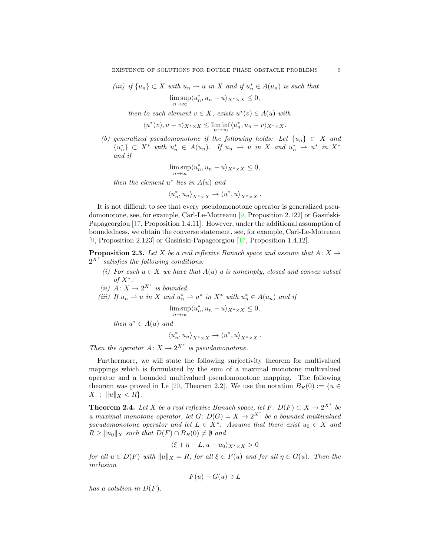(iii) if  $\{u_n\} \subset X$  with  $u_n \rightharpoonup u$  in X and if  $u_n^* \in A(u_n)$  is such that  $\limsup_{n\to\infty} \langle u_n^*, u_n - u \rangle_{X^* \times X} \leq 0,$ 

then to each element  $v \in X$ , exists  $u^*(v) \in A(u)$  with

$$
\langle u^*(v), u-v\rangle_{X^*\times X} \le \liminf_{n\to\infty} \langle u_n^*, u_n-v\rangle_{X^*\times X}.
$$

(b) generalized pseudomonotone if the following holds: Let  $\{u_n\} \subset X$  and  ${u}_n^*$   $\subset X^*$  with  $u_n^* \in A(u_n)$ . If  $u_n \rightharpoonup u$  in X and  $u_n^* \rightharpoonup u^*$  in  $X^*$ and if

$$
\limsup_{n \to \infty} \langle u_n^*, u_n - u \rangle_{X^* \times X} \le 0,
$$

then the element  $u^*$  lies in  $A(u)$  and

$$
\langle u_n^*, u_n \rangle_{X^* \times X} \to \langle u^*, u \rangle_{X^* \times X} \, .
$$

It is not difficult to see that every pseudomonotone operator is generalized pseudomonotone, see, for example, Carl-Le-Motreanu  $[9,$  Proposition 2.122 or Gasingski-Papageorgiou [\[17,](#page-10-24) Proposition 1.4.11]. However, under the additional assumption of boundedness, we obtain the converse statement, see, for example, Carl-Le-Motreanu [\[9,](#page-10-25) Proposition 2.123] or Gasiński-Papageorgiou  $[17,$  Proposition 1.4.12].

<span id="page-4-1"></span>**Proposition 2.3.** Let X be a real reflexive Banach space and assume that  $A: X \rightarrow$  $2^{X^*}$  satisfies the following conditions:

- (i) For each  $u \in X$  we have that  $A(u)$  a is nonempty, closed and convex subset of  $X^*$ .
- (ii)  $\dot{A}: X \to 2^{X^*}$  is bounded.

$$
(iii) If u_n \rightharpoonup u \text{ in } X \text{ and } u_n^* \rightharpoonup u^* \text{ in } X^* \text{ with } u_n^* \in A(u_n) \text{ and if }
$$

$$
\limsup_{n \to \infty} \langle u_n^*, u_n - u \rangle_{X^* \times X} \le 0,
$$

then  $u^* \in A(u)$  and

$$
\left\langle u_{n}^{\ast},u_{n}\right\rangle _{X^{\ast}\times X}\rightarrow\left\langle u^{\ast},u\right\rangle _{X^{\ast}\times X}.
$$

Then the operator  $A: X \to 2^{X^*}$  is pseudomonotone.

Furthermore, we will state the following surjectivity theorem for multivalued mappings which is formulated by the sum of a maximal monotone multivalued operator and a bounded multivalued pseudomonotone mapping. The following theorem was proved in Le [\[20,](#page-10-0) Theorem 2.2]. We use the notation  $B_R(0) := \{u \in$  $X : \|u\|_X < R$ .

<span id="page-4-0"></span>**Theorem 2.4.** Let X be a real reflexive Banach space, let  $F: D(F) \subset X \to 2^{X^*}$  be a maximal monotone operator, let  $G: D(G) = X \rightarrow 2^{X^*}$  be a bounded multivalued pseudomonotone operator and let  $L \in X^*$ . Assume that there exist  $u_0 \in X$  and  $R \ge ||u_0||_X$  such that  $D(F) \cap B_R(0) \neq \emptyset$  and

$$
\langle \xi + \eta - L, u - u_0 \rangle_{X^* \times X} > 0
$$

for all  $u \in D(F)$  with  $||u||_X = R$ , for all  $\xi \in F(u)$  and for all  $\eta \in G(u)$ . Then the inclusion

$$
F(u) + G(u) \ni L
$$

has a solution in  $D(F)$ .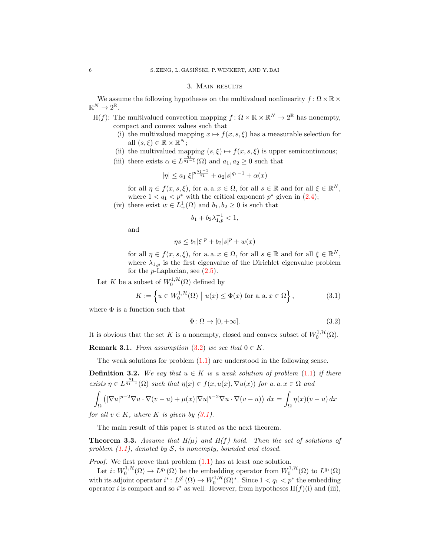#### 3. Main results

<span id="page-5-0"></span>We assume the following hypotheses on the multivalued nonlinearity  $f: \Omega \times \mathbb{R} \times$  $\mathbb{R}^N \to 2^{\mathbb{R}}$ .

- H(f): The multivalued convection mapping  $f: \Omega \times \mathbb{R} \times \mathbb{R}^N \to 2^{\mathbb{R}}$  has nonempty, compact and convex values such that
	- (i) the multivalued mapping  $x \mapsto f(x, s, \xi)$  has a measurable selection for all  $(s,\xi) \in \mathbb{R} \times \mathbb{R}^N$ ;
	- (ii) the multivalued mapping  $(s, \xi) \mapsto f(x, s, \xi)$  is upper semicontinuous;
	- (iii) there exists  $\alpha \in L^{\frac{\bar{q}_1}{q_1-1}}(\Omega)$  and  $a_1, a_2 \geq 0$  such that

$$
|\eta| \le a_1 |\xi|^{p \frac{q_1 - 1}{q_1}} + a_2 |s|^{q_1 - 1} + \alpha(x)
$$

for all  $\eta \in f(x, s, \xi)$ , for a. a.  $x \in \Omega$ , for all  $s \in \mathbb{R}$  and for all  $\xi \in \mathbb{R}^N$ , where  $1 < q_1 < p^*$  with the critical exponent  $p^*$  given in  $(2.4)$ ;

(iv) there exist  $w \in L^1_+(\Omega)$  and  $b_1, b_2 \geq 0$  is such that

$$
b_1 + b_2 \lambda_{1,p}^{-1} < 1,
$$

and

$$
\eta s \le b_1 |\xi|^p + b_2 |s|^p + w(x)
$$

for all  $\eta \in f(x, s, \xi)$ , for a. a.  $x \in \Omega$ , for all  $s \in \mathbb{R}$  and for all  $\xi \in \mathbb{R}^N$ , where  $\lambda_{1,p}$  is the first eigenvalue of the Dirichlet eigenvalue problem for the  $p$ -Laplacian, see  $(2.5)$ .

Let K be a subset of  $W_0^{1,\mathcal{H}}(\Omega)$  defined by

$$
K := \left\{ u \in W_0^{1, \mathcal{H}}(\Omega) \mid u(x) \le \Phi(x) \text{ for a. a. } x \in \Omega \right\},\tag{3.1}
$$

where  $\Phi$  is a function such that

<span id="page-5-2"></span><span id="page-5-1"></span>
$$
\Phi \colon \Omega \to [0, +\infty].\tag{3.2}
$$

It is obvious that the set K is a nonempty, closed and convex subset of  $W_0^{1,\mathcal{H}}(\Omega)$ .

**Remark 3.1.** From assumption [\(3.2\)](#page-5-1) we see that  $0 \in K$ .

The weak solutions for problem  $(1.1)$  are understood in the following sense.

<span id="page-5-3"></span>**Definition 3.2.** We say that  $u \in K$  is a weak solution of problem [\(1.1\)](#page-0-0) if there exists  $\eta \in L^{\frac{q_1}{q_1-1}}(\Omega)$  such that  $\eta(x) \in f(x, u(x), \nabla u(x))$  for a.  $a, x \in \Omega$  and

$$
\int_{\Omega} \left( |\nabla u|^{p-2} \nabla u \cdot \nabla (v - u) + \mu(x) |\nabla u|^{q-2} \nabla u \cdot \nabla (v - u) \right) dx = \int_{\Omega} \eta(x) (v - u) dx
$$

for all  $v \in K$ , where K is given by  $(3.1)$ .

The main result of this paper is stated as the next theorem.

**Theorem 3.3.** Assume that  $H(\mu)$  and  $H(f)$  hold. Then the set of solutions of problem  $(1.1)$ , denoted by S, is nonempty, bounded and closed.

Proof. We first prove that problem [\(1.1\)](#page-0-0) has at least one solution.

Let  $i: W_0^{1,\mathcal{H}}(\Omega) \to L^{q_1}(\Omega)$  be the embedding operator from  $W_0^{1,\mathcal{H}}(\Omega)$  to  $L^{q_1}(\Omega)$ with its adjoint operator  $i^* \colon L^{q'_1}(\Omega) \to W_0^{1,\mathcal{H}}(\Omega)^*$ . Since  $1 < q_1 < p^*$  the embedding operator *i* is compact and so  $i^*$  as well. However, from hypotheses  $H(f)(i)$  and (iii),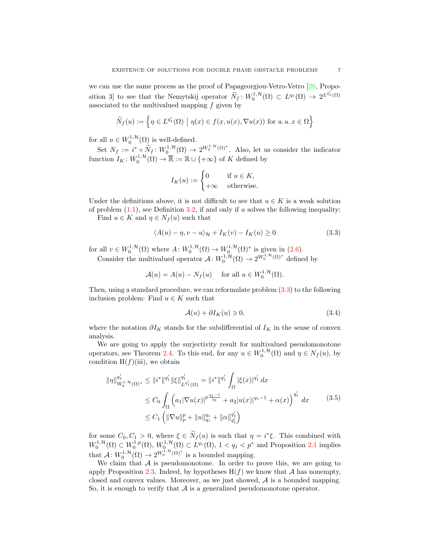we can use the same process as the proof of Papageorgiou-Vetro-Vetro [\[28,](#page-10-26) Proposition 3 to see that the Nemytskij operator  $\widetilde{N}_f : W_0^{1,\mathcal{H}}(\Omega) \subset L^{q_1}(\Omega) \to 2^{L^{q'_1}(\Omega)}$ associated to the multivalued mapping  $f$  given by

$$
\widetilde{N}_f(u) := \left\{ \eta \in L^{q'_1}(\Omega) \mid \eta(x) \in f(x, u(x), \nabla u(x)) \text{ for a. a. } x \in \Omega \right\}
$$

for all  $u \in W_0^{1, \mathcal{H}}(\Omega)$  is well-defined.

Set  $N_f := i^* \circ \widetilde{N}_f : W_0^{1,\mathcal{H}}(\Omega) \to 2^{W_0^{1,\mathcal{H}}(\Omega)^*}.$  Also, let us consider the indicator function  $I_K: W_0^{1,\mathcal{H}}(\Omega) \to \overline{\mathbb{R}} := \mathbb{R} \cup \{+\infty\}$  of K defined by

<span id="page-6-0"></span>
$$
I_K(u) := \begin{cases} 0 & \text{if } u \in K, \\ +\infty & \text{otherwise.} \end{cases}
$$

Under the definitions above, it is not difficult to see that  $u \in K$  is a weak solution of problem  $(1.1)$ , see Definition [3.2,](#page-5-3) if and only if u solves the following inequality:

Find  $u \in K$  and  $\eta \in N_f(u)$  such that

$$
\langle A(u) - \eta, v - u \rangle_{\mathcal{H}} + I_K(v) - I_K(u) \ge 0 \tag{3.3}
$$

for all  $v \in W_0^{1,\mathcal{H}}(\Omega)$  where  $A \colon W_0^{1,\mathcal{H}}(\Omega) \to W_0^{1,\mathcal{H}}(\Omega)^*$  is given in [\(2.6\)](#page-3-1). Consider the multivalued operator  $\mathcal{A}: W_0^{1, \mathcal{H}}(\Omega) \to 2^{W_0^{1, \mathcal{H}}(\Omega)^*}$  defined by

$$
\mathcal{A}(u) = A(u) - N_f(u) \quad \text{ for all } u \in W_0^{1, \mathcal{H}}(\Omega).
$$

Then, using a standard procedure, we can reformulate problem [\(3.3\)](#page-6-0) to the following inclusion problem: Find  $u \in K$  such that

<span id="page-6-2"></span><span id="page-6-1"></span>
$$
\mathcal{A}(u) + \partial I_K(u) \ni 0,\tag{3.4}
$$

where the notation  $\partial I_K$  stands for the subdifferential of  $I_K$  in the sense of convex analysis.

We are going to apply the surjectivity result for multivalued pseudomonotone operators, see Theorem [2.4.](#page-4-0) To this end, for any  $u \in W_0^{1, H}(\Omega)$  and  $\eta \in N_f(u)$ , by condition  $H(f)(iii)$ , we obtain

$$
\|\eta\|_{W_0^{1, \mathcal{H}}(\Omega)^*}^{q'_1} \le \|i^*\|^{q'_1} \|\xi\|_{L^{q'_1}(\Omega)}^{q'_1} = \|i^*\|^{q'_1} \int_{\Omega} |\xi(x)|^{q'_1} dx
$$
  
\n
$$
\le C_0 \int_{\Omega} \left( a_1 |\nabla u(x)|^{p \frac{q_1 - 1}{q_1}} + a_2 |u(x)|^{q_1 - 1} + \alpha(x) \right)^{q'_1} dx \qquad (3.5)
$$
  
\n
$$
\le C_1 \left( \|\nabla u\|_{p}^{p} + \|u\|_{q_1}^{q_1} + \|\alpha\|_{q'_1}^{q'_1} \right)
$$

for some  $C_0, C_1 > 0$ , where  $\xi \in \widetilde{N}_f(u)$  is such that  $\eta = i^*\xi$ . This combined with  $W_0^{1,\mathcal{H}}(\Omega) \subset W_0^{1,p}(\Omega), W_0^{1,\mathcal{H}}(\Omega) \subset L^{q_1}(\Omega), 1 < q_1 < p^*$  and Proposition [2.1](#page-3-3) implies that  $\mathcal{A}: W_0^{1,\mathcal{H}}(\Omega) \to 2^{W_0^{1,\mathcal{H}}(\Omega)^*}$  is a bounded mapping.

We claim that  $A$  is pseudomonotone. In order to prove this, we are going to apply Proposition [2.3.](#page-4-1) Indeed, by hypotheses  $H(f)$  we know that A has nonempty, closed and convex values. Moreover, as we just showed, A is a bounded mapping. So, it is enough to verify that  $A$  is a generalized pseudomonotone operator.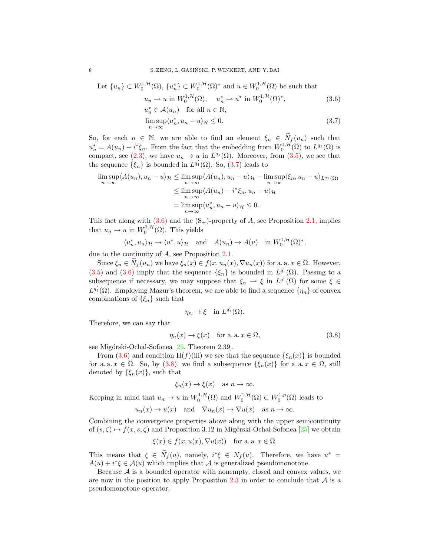Let 
$$
\{u_n\} \subset W_0^{1,\mathcal{H}}(\Omega)
$$
,  $\{u_n^*\} \subset W_0^{1,\mathcal{H}}(\Omega)^*$  and  $u \in W_0^{1,\mathcal{H}}(\Omega)$  be such that  

$$
u_n \rightharpoonup u \text{ in } W_0^{1,\mathcal{H}}(\Omega), \quad u_n^* \rightharpoonup u^* \text{ in } W_0^{1,\mathcal{H}}(\Omega)^*,
$$
(3.6)

$$
u_n^* \in \mathcal{A}(u_n) \quad \text{for all } n \in \mathbb{N},
$$
  

$$
\limsup \langle u_n^*, u_n - u \rangle \le 0.
$$
 (3.7)

So, for each  $n \in \mathbb{N}$ , we are able to find an element  $\xi_n \in \widetilde{N}_f(u_n)$  such that  $u_n^* = A(u_n) - i^*\xi_n$ . From the fact that the embedding from  $W_0^{1,\mathcal{H}}(\Omega)$  to  $L^{q_1}(\Omega)$  is compact, see [\(2.3\)](#page-3-4), we have  $u_n \to u$  in  $L^{q_1}(\Omega)$ . Moreover, from [\(3.5\)](#page-6-1), we see that the sequence  $\{\xi_n\}$  is bounded in  $L^{q'_1}(\Omega)$ . So,  $(3.7)$  leads to

$$
\limsup_{n \to \infty} \langle A(u_n), u_n - u \rangle_{\mathcal{H}} \le \limsup_{n \to \infty} \langle A(u_n), u_n - u \rangle_{\mathcal{H}} - \limsup_{n \to \infty} \langle \xi_n, u_n - u \rangle_{L^{q_1}(\Omega)}
$$
  

$$
\le \limsup_{n \to \infty} \langle A(u_n) - i^* \xi_n, u_n - u \rangle_{\mathcal{H}}
$$
  

$$
= \limsup_{n \to \infty} \langle u_n^*, u_n - u \rangle_{\mathcal{H}} \le 0.
$$

This fact along with  $(3.6)$  and the  $(S<sub>+</sub>)$ -property of A, see Proposition [2.1,](#page-3-3) implies that  $u_n \to u$  in  $W_0^{1, \mathcal{H}}(\Omega)$ . This yields

$$
\langle u_n^*, u_n \rangle_{\mathcal{H}} \to \langle u^*, u \rangle_{\mathcal{H}}
$$
 and  $A(u_n) \to A(u)$  in  $W_0^{1,\mathcal{H}}(\Omega)^*$ ,

due to the continuity of A, see Proposition [2.1.](#page-3-3)

<span id="page-7-1"></span><span id="page-7-0"></span>n→∞

Since  $\xi_n \in \widetilde{N}_f(u_n)$  we have  $\xi_n(x) \in f(x, u_n(x), \nabla u_n(x))$  for a. a.  $x \in \Omega$ . However, [\(3.5\)](#page-6-1) and [\(3.6\)](#page-7-1) imply that the sequence  $\{\xi_n\}$  is bounded in  $L^{q'_1}(\Omega)$ . Passing to a subsequence if necessary, we may suppose that  $\xi_n \rightharpoonup \xi$  in  $L^{q'_1}(\Omega)$  for some  $\xi \in$  $L^{q'_1}(\Omega)$ . Employing Mazur's theorem, we are able to find a sequence  $\{\eta_n\}$  of convex combinations of  $\{\xi_n\}$  such that

<span id="page-7-2"></span>
$$
\eta_n \to \xi \quad \text{in } L^{q'_1}(\Omega).
$$

Therefore, we can say that

$$
\eta_n(x) \to \xi(x) \quad \text{for a. a. } x \in \Omega,
$$
\n(3.8)

see Migórski-Ochal-Sofonea [\[25,](#page-10-27) Theorem 2.39].

From [\(3.6\)](#page-7-1) and condition H(f)(iii) we see that the sequence  $\{\xi_n(x)\}\$ is bounded for a. a.  $x \in \Omega$ . So, by [\(3.8\)](#page-7-2), we find a subsequence  $\{\xi_n(x)\}\$ for a. a.  $x \in \Omega$ , still denoted by  $\{\xi_n(x)\}\,$  such that

$$
\xi_n(x) \to \xi(x)
$$
 as  $n \to \infty$ .

Keeping in mind that  $u_n \to u$  in  $W_0^{1,\mathcal{H}}(\Omega)$  and  $W_0^{1,\mathcal{H}}(\Omega) \subset W_0^{1,p}(\Omega)$  leads to

$$
u_n(x) \to u(x)
$$
 and  $\nabla u_n(x) \to \nabla u(x)$  as  $n \to \infty$ .

Combining the convergence properties above along with the upper semicontinuity of  $(s, \zeta) \mapsto f(x, s, \zeta)$  and Proposition 3.12 in Migórski-Ochal-Sofonea [\[25\]](#page-10-27) we obtain

$$
\xi(x) \in f(x, u(x), \nabla u(x))
$$
 for a. a.  $x \in \Omega$ .

This means that  $\xi \in \tilde{N}_f(u)$ , namely,  $i^*\xi \in N_f(u)$ . Therefore, we have  $u^* =$  $A(u) + i^*\xi \in \mathcal{A}(u)$  which implies that  $\mathcal A$  is generalized pseudomonotone.

Because  $A$  is a bounded operator with nonempty, closed and convex values, we are now in the position to apply Proposition [2.3](#page-4-1) in order to conclude that  $A$  is a pseudomonotone operator.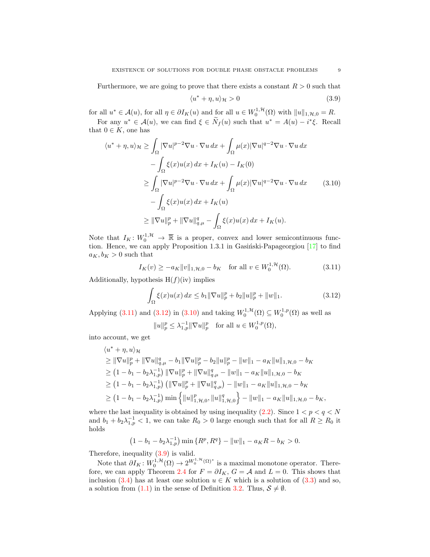Furthermore, we are going to prove that there exists a constant  $R > 0$  such that

<span id="page-8-3"></span><span id="page-8-2"></span>
$$
\langle u^* + \eta, u \rangle_{\mathcal{H}} > 0 \tag{3.9}
$$

for all  $u^* \in \mathcal{A}(u)$ , for all  $\eta \in \partial I_K(u)$  and for all  $u \in W_0^{1,\mathcal{H}}(\Omega)$  with  $||u||_{1,\mathcal{H},0} = R$ .

For any  $u^* \in \mathcal{A}(u)$ , we can find  $\xi \in \tilde{N}_f(u)$  such that  $u^* = A(u) - i^*\xi$ . Recall that  $0 \in K$ , one has

$$
\langle u^* + \eta, u \rangle_{\mathcal{H}} \ge \int_{\Omega} |\nabla u|^{p-2} \nabla u \cdot \nabla u \, dx + \int_{\Omega} \mu(x) |\nabla u|^{q-2} \nabla u \cdot \nabla u \, dx
$$

$$
- \int_{\Omega} \xi(x) u(x) \, dx + I_K(u) - I_K(0)
$$

$$
\ge \int_{\Omega} |\nabla u|^{p-2} \nabla u \cdot \nabla u \, dx + \int_{\Omega} \mu(x) |\nabla u|^{q-2} \nabla u \cdot \nabla u \, dx \qquad (3.10)
$$

$$
- \int_{\Omega} \xi(x) u(x) \, dx + I_K(u)
$$

$$
\ge ||\nabla u||_p^p + ||\nabla u||_{q,\mu}^q - \int_{\Omega} \xi(x) u(x) \, dx + I_K(u).
$$

Note that  $I_K: W_0^{1,\mathcal{H}} \to \overline{\mathbb{R}}$  is a proper, convex and lower semicontinuous function. Hence, we can apply Proposition 1.3.1 in Gasiński-Papageorgiou  $[17]$  to find  $a_K, b_K > 0$  such that

$$
I_K(v) \ge -a_K \|v\|_{1,\mathcal{H},0} - b_K \quad \text{for all } v \in W_0^{1,\mathcal{H}}(\Omega). \tag{3.11}
$$

Additionally, hypothesis  $H(f)(iv)$  implies

<span id="page-8-1"></span><span id="page-8-0"></span>
$$
\int_{\Omega} \xi(x)u(x) dx \le b_1 \|\nabla u\|_p^p + b_2 \|u\|_p^p + \|w\|_1.
$$
 (3.12)

Applying [\(3.11\)](#page-8-0) and [\(3.12\)](#page-8-1) in [\(3.10\)](#page-8-2) and taking  $W_0^{1, H}(\Omega) \subseteq W_0^{1, p}(\Omega)$  as well as  $||u||_p^p \leq \lambda_{1,p}^{-1} ||\nabla u||_p^p$  for all  $u \in W_0^{1,p}(\Omega)$ ,

$$
||u||_p \ge \lambda_{1,p} ||v u||_p \quad \text{for all } u \in
$$

into account, we get

$$
\langle u^* + \eta, u \rangle_{\mathcal{H}}
$$
\n
$$
\geq \|\nabla u\|_{p}^{p} + \|\nabla u\|_{q,\mu}^{q} - b_{1} \|\nabla u\|_{p}^{p} - b_{2} \|u\|_{p}^{p} - \|w\|_{1} - a_{K} \|u\|_{1, \mathcal{H}, 0} - b_{K}
$$
\n
$$
\geq (1 - b_{1} - b_{2}\lambda_{1,p}^{-1}) \|\nabla u\|_{p}^{p} + \|\nabla u\|_{q,\mu}^{q} - \|w\|_{1} - a_{K} \|u\|_{1, \mathcal{H}, 0} - b_{K}
$$
\n
$$
\geq (1 - b_{1} - b_{2}\lambda_{1,p}^{-1}) \left( \|\nabla u\|_{p}^{p} + \|\nabla u\|_{q,\mu}^{q} \right) - \|w\|_{1} - a_{K} \|u\|_{1, \mathcal{H}, 0} - b_{K}
$$
\n
$$
\geq (1 - b_{1} - b_{2}\lambda_{1,p}^{-1}) \min \left\{ \|u\|_{1, \mathcal{H}, 0}^{p}, \|u\|_{1, \mathcal{H}, 0}^{q} \right\} - \|w\|_{1} - a_{K} \|u\|_{1, \mathcal{H}, 0} - b_{K},
$$

where the last inequality is obtained by using inequality [\(2.2\)](#page-3-5). Since  $1 < p < q < N$ and  $b_1 + b_2 \lambda_{1,p}^{-1} < 1$ , we can take  $R_0 > 0$  large enough such that for all  $R \ge R_0$  it holds

$$
(1 - b_1 - b_2 \lambda_{1,p}^{-1}) \min \{ R^p, R^q \} - ||w||_1 - a_K R - b_K > 0.
$$

Therefore, inequality [\(3.9\)](#page-8-3) is valid.

Note that  $\partial I_K: W_0^{1,\mathcal{H}}(\Omega) \to 2^{W_0^{1,\mathcal{H}}(\Omega)^*}$  is a maximal monotone operator. There-fore, we can apply Theorem [2.4](#page-4-0) for  $F = \partial I_K$ ,  $G = A$  and  $L = 0$ . This shows that inclusion [\(3.4\)](#page-6-2) has at least one solution  $u \in K$  which is a solution of [\(3.3\)](#page-6-0) and so, a solution from [\(1.1\)](#page-0-0) in the sense of Definition [3.2.](#page-5-3) Thus,  $S \neq \emptyset$ .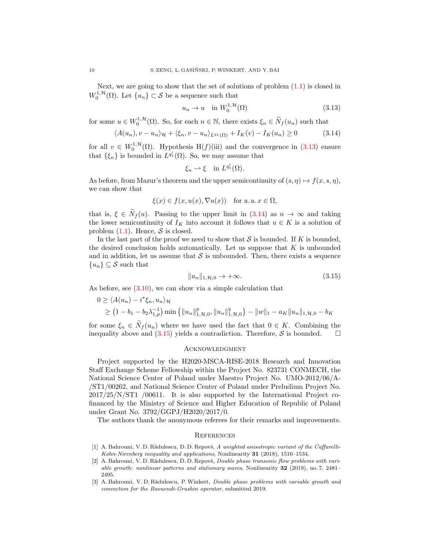Next, we are going to show that the set of solutions of problem  $(1.1)$  is closed in  $W_0^{1,\mathcal{H}}(\Omega)$ . Let  $\{u_n\} \subset \mathcal{S}$  be a sequence such that

<span id="page-9-3"></span>
$$
u_n \to u \quad \text{in } W_0^{1, \mathcal{H}}(\Omega) \tag{3.13}
$$

for some  $u \in W_0^{1,\mathcal{H}}(\Omega)$ . So, for each  $n \in \mathbb{N}$ , there exists  $\xi_n \in \widetilde{N}_f(u_n)$  such that

$$
\langle A(u_n), v - u_n \rangle_{\mathcal{H}} + \langle \xi_n, v - u_n \rangle_{L^{q_1}(\Omega)} + I_K(v) - I_K(u_n) \ge 0 \tag{3.14}
$$

for all  $v \in W_0^{1,\mathcal{H}}(\Omega)$ . Hypothesis H(f)(iii) and the convergence in [\(3.13\)](#page-9-3) ensure that  $\{\xi_n\}$  is bounded in  $L^{q'_1}(\Omega)$ . So, we may assume that

<span id="page-9-4"></span>
$$
\xi_n \rightharpoonup \xi \quad \text{in } L^{q'_1}(\Omega).
$$

As before, from Mazur's theorem and the upper semicontinuity of  $(s, \eta) \mapsto f(x, s, \eta)$ , we can show that

$$
\xi(x) \in f(x, u(x), \nabla u(x))
$$
 for a. a.  $x \in \Omega$ ,

that is,  $\xi \in \widetilde{N}_f(u)$ . Passing to the upper limit in  $(3.14)$  as  $n \to \infty$  and taking the lower semicontinuity of  $I_K$  into account it follows that  $u \in K$  is a solution of problem  $(1.1)$ . Hence, S is closed.

In the last part of the proof we need to show that  $S$  is bounded. If K is bounded, the desired conclusion holds automatically. Let us suppose that  $K$  is unbounded and in addition, let us assume that  $\mathcal S$  is unbounded. Then, there exists a sequence  ${u_n}\subseteq \mathcal{S}$  such that

<span id="page-9-5"></span>
$$
||u_n||_{1,\mathcal{H},0} \to +\infty. \tag{3.15}
$$

As before, see [\(3.10\)](#page-8-2), we can show via a simple calculation that

$$
0 \ge \langle A(u_n) - i^* \xi_n, u_n \rangle_{\mathcal{H}}
$$
  
 
$$
\ge (1 - b_1 - b_2 \lambda_{1,p}^{-1}) \min \{ ||u_n||_{1,\mathcal{H},0}^p, ||u_n||_{1,\mathcal{H},0}^q \} - ||w||_1 - a_K ||u_n||_{1,\mathcal{H},0} - b_K
$$

for some  $\xi_n \in \widetilde{N}_f(u_n)$  where we have used the fact that  $0 \in K$ . Combining the inequality above and (3.15) yields a contradiction. Therefore, S is bounded.  $\square$ inequality above and  $(3.15)$  yields a contradiction. Therefore,  $S$  is bounded.

### Acknowledgment

Project supported by the H2020-MSCA-RISE-2018 Research and Innovation Staff Exchange Scheme Fellowship within the Project No. 823731 CONMECH, the National Science Center of Poland under Maestro Project No. UMO-2012/06/A- /ST1/00262, and National Science Center of Poland under Preludium Project No. 2017/25/N/ST1 /00611. It is also supported by the International Project cofinanced by the Ministry of Science and Higher Education of Republic of Poland under Grant No. 3792/GGPJ/H2020/2017/0.

The authors thank the anonymous referees for their remarks and improvements.

#### **REFERENCES**

- <span id="page-9-0"></span>[1] A. Bahrouni, V. D. Rădulescu, D. D. Repovš, A weighted anisotropic variant of the Caffarelli-Kohn-Nirenberg inequality and applications, Nonlinearity 31 (2018), 1516–1534.
- <span id="page-9-1"></span>[2] A. Bahrouni, V. D. Rădulescu, D. D. Repovš, *Double phase transonic flow problems with vari*able growth: nonlinear patterns and stationary waves, Nonlinearity 32 (2019), no. 7, 2481– 2495.
- <span id="page-9-2"></span>[3] A. Bahrouni, V. D. Rădulescu, P. Winkert, *Double phase problems with variable growth and* convection for the Baouendi-Grushin operator, submitted 2019.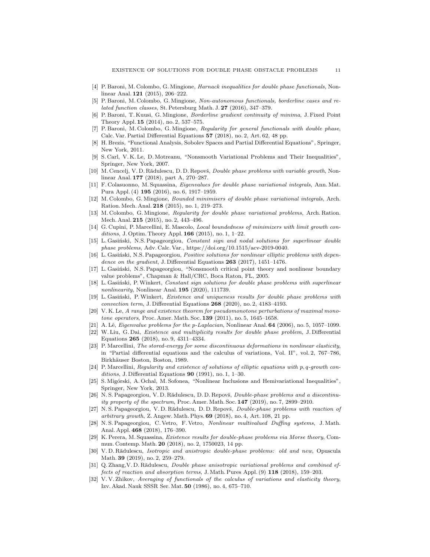- <span id="page-10-3"></span>[4] P. Baroni, M. Colombo, G. Mingione, Harnack inequalities for double phase functionals, Nonlinear Anal. 121 (2015), 206–222.
- <span id="page-10-4"></span>[5] P. Baroni, M. Colombo, G. Mingione, Non-autonomous functionals, borderline cases and related function classes, St. Petersburg Math. J. 27 (2016), 347-379.
- <span id="page-10-6"></span>[6] P. Baroni, T. Kuusi, G. Mingione, Borderline gradient continuity of minima, J. Fixed Point Theory Appl. 15 (2014), no. 2, 537–575.
- <span id="page-10-5"></span>[7] P. Baroni, M. Colombo, G. Mingione, Regularity for general functionals with double phase, Calc. Var. Partial Differential Equations 57 (2018), no. 2, Art. 62, 48 pp.
- [8] H. Brezis, "Functional Analysis, Sobolev Spaces and Partial Differential Equations", Springer, New York, 2011.
- <span id="page-10-25"></span>[9] S. Carl, V. K. Le, D. Motreanu, "Nonsmooth Variational Problems and Their Inequalities", Springer, New York, 2007.
- <span id="page-10-18"></span>[10] M. Cencelj, V. D. Rădulescu, D. D. Repovš, *Double phase problems with variable growth*, Nonlinear Anal. 177 (2018), part A, 270–287.
- <span id="page-10-12"></span>[11] F. Colasuonno, M. Squassina, Eigenvalues for double phase variational integrals, Ann. Mat. Pura Appl. (4) 195 (2016), no. 6, 1917–1959.
- <span id="page-10-7"></span>[12] M. Colombo, G. Mingione, Bounded minimisers of double phase variational integrals, Arch. Ration. Mech. Anal. 218 (2015), no. 1, 219–273.
- <span id="page-10-8"></span>[13] M. Colombo, G. Mingione, Regularity for double phase variational problems, Arch. Ration. Mech. Anal. 215 (2015), no. 2, 443–496.
- <span id="page-10-9"></span>[14] G. Cupini, P. Marcellini, E. Mascolo, Local boundedness of minimizers with limit growth conditions, J. Optim. Theory Appl.  $166$  (2015), no. 1, 1–22.
- <span id="page-10-13"></span>[15] L. Gasiński, N.S. Papageorgiou, Constant sign and nodal solutions for superlinear double phase problems, Adv. Calc. Var., https://doi.org/10.1515/acv-2019-0040.
- <span id="page-10-17"></span>[16] L. Gasiński, N.S. Papageorgiou, Positive solutions for nonlinear elliptic problems with dependence on the gradient, J. Differential Equations  $263$  (2017), 1451–1476.
- <span id="page-10-24"></span>[17] L. Gasiński, N.S. Papageorgiou, "Nonsmooth critical point theory and nonlinear boundary value problems", Chapman & Hall/CRC, Boca Raton, FL, 2005.
- <span id="page-10-14"></span>[18] L. Gasiński, P. Winkert, Constant sign solutions for double phase problems with superlinear nonlinearity, Nonlinear Anal. 195 (2020), 111739.
- <span id="page-10-1"></span>[19] L. Gasiński, P. Winkert, Existence and uniqueness results for double phase problems with convection term, J. Differential Equations  $268$  (2020), no. 2, 4183-4193.
- <span id="page-10-0"></span>[20] V. K. Le, A range and existence theorem for pseudomonotone perturbations of maximal monotone operators, Proc. Amer. Math. Soc. 139 (2011), no. 5, 1645–1658.
- <span id="page-10-23"></span>[21] A. Lê, *Eigenvalue problems for the p-Laplacian*, Nonlinear Anal. **64** (2006), no. 5, 1057–1099.
- <span id="page-10-15"></span>[22] W. Liu, G. Dai, Existence and multiplicity results for double phase problem, J. Differential Equations 265 (2018), no. 9, 4311–4334.
- <span id="page-10-10"></span>[23] P. Marcellini, The stored-energy for some discontinuous deformations in nonlinear elasticity, in "Partial differential equations and the calculus of variations, Vol. II", vol. 2, 767–786, Birkhäuser Boston, Boston, 1989.
- <span id="page-10-11"></span>[24] P. Marcellini, Regularity and existence of solutions of elliptic equations with p, q-growth conditions, J. Differential Equations  $90$  (1991), no. 1, 1–30.
- <span id="page-10-27"></span>[25] S. Migórski, A. Ochal, M. Sofonea, "Nonlinear Inclusions and Hemivariational Inequalities", Springer, New York, 2013.
- <span id="page-10-19"></span>[26] N. S. Papageorgiou, V. D. Rădulescu, D. D. Repovš, *Double-phase problems and a discontinu*ity property of the spectrum, Proc. Amer. Math. Soc. 147 (2019), no. 7, 2899–2910.
- <span id="page-10-20"></span>[27] N. S. Papageorgiou, V. D. Rădulescu, D. D. Repovš, Double-phase problems with reaction of arbitrary growth, Z. Angew. Math. Phys.  $69$  (2018), no. 4, Art. 108, 21 pp.
- <span id="page-10-26"></span>[28] N. S. Papageorgiou, C. Vetro, F. Vetro, Nonlinear multivalued Duffing systems, J. Math. Anal. Appl. 468 (2018), 176–390.
- <span id="page-10-16"></span>[29] K. Perera, M. Squassina, Existence results for double-phase problems via Morse theory, Commun. Contemp. Math. 20 (2018), no. 2, 1750023, 14 pp.
- <span id="page-10-21"></span>[30] V.D. Rădulescu, Isotropic and anistropic double-phase problems: old and new, Opuscula Math. 39 (2019), no. 2, 259–279.
- <span id="page-10-22"></span>[31] Q. Zhang, V. D. Rădulescu, *Double phase anisotropic variational problems and combined ef*fects of reaction and absorption terms, J. Math. Pures Appl. (9) 118 (2018), 159–203.
- <span id="page-10-2"></span>[32] V. V. Zhikov, Averaging of functionals of the calculus of variations and elasticity theory, Izv. Akad. Nauk SSSR Ser. Mat. 50 (1986), no. 4, 675–710.